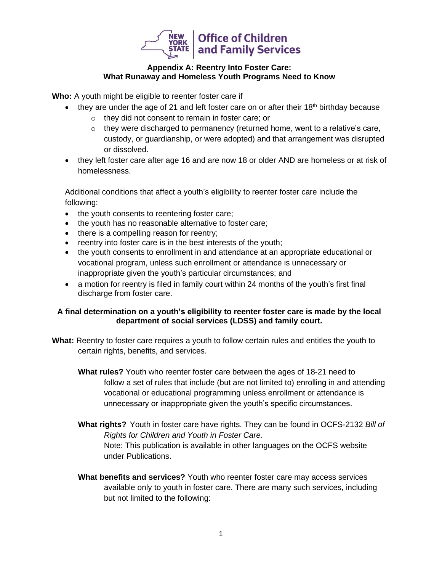

## **Appendix A: Reentry Into Foster Care: What Runaway and Homeless Youth Programs Need to Know**

**Who:** A youth might be eligible to reenter foster care if

- they are under the age of 21 and left foster care on or after their  $18<sup>th</sup>$  birthday because
	- o they did not consent to remain in foster care; or
	- $\circ$  they were discharged to permanency (returned home, went to a relative's care, custody, or guardianship, or were adopted) and that arrangement was disrupted or dissolved.
- they left foster care after age 16 and are now 18 or older AND are homeless or at risk of homelessness.

Additional conditions that affect a youth's eligibility to reenter foster care include the following:

- the youth consents to reentering foster care;
- the youth has no reasonable alternative to foster care;
- there is a compelling reason for reentry;
- reentry into foster care is in the best interests of the youth;
- the youth consents to enrollment in and attendance at an appropriate educational or vocational program, unless such enrollment or attendance is unnecessary or inappropriate given the youth's particular circumstances; and
- a motion for reentry is filed in family court within 24 months of the youth's first final discharge from foster care.

## **A final determination on a youth's eligibility to reenter foster care is made by the local department of social services (LDSS) and family court.**

- **What:** Reentry to foster care requires a youth to follow certain rules and entitles the youth to certain rights, benefits, and services.
	- **What rules?** Youth who reenter foster care between the ages of 18-21 need to follow a set of rules that include (but are not limited to) enrolling in and attending vocational or educational programming unless enrollment or attendance is unnecessary or inappropriate given the youth's specific circumstances.
	- **What rights?** Youth in foster care have rights. They can be found in OCFS-2132 *Bill of Rights for Children and Youth in Foster Care.* Note: This publication is available in other languages on the OCFS website under Publications.
	- **What benefits and services?** Youth who reenter foster care may access services available only to youth in foster care. There are many such services, including but not limited to the following: